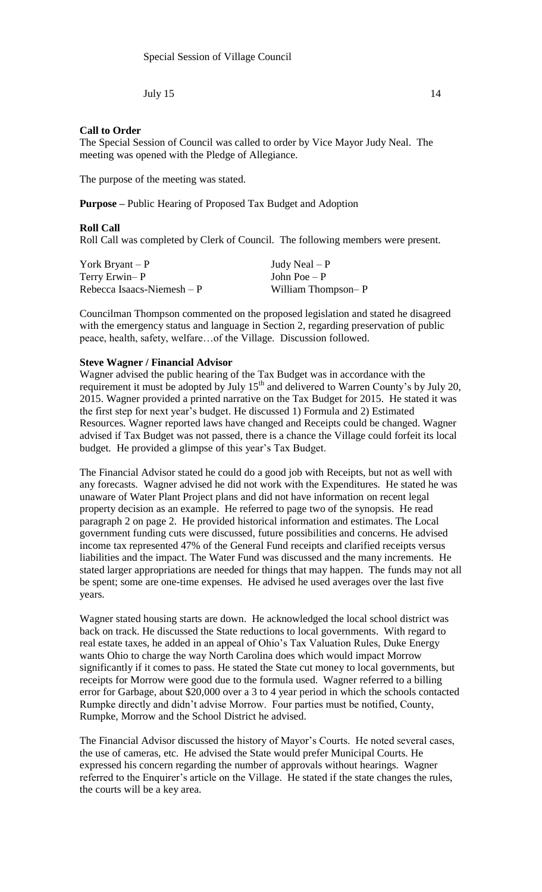July  $15$  14

## **Call to Order**

The Special Session of Council was called to order by Vice Mayor Judy Neal. The meeting was opened with the Pledge of Allegiance.

The purpose of the meeting was stated.

**Purpose –** Public Hearing of Proposed Tax Budget and Adoption

## **Roll Call**

Roll Call was completed by Clerk of Council. The following members were present.

| York Bryant $-P$            | Judy Neal $-P$     |
|-----------------------------|--------------------|
| Terry Erwin-P               | John Poe $-P$      |
| Rebecca Isaacs-Niemesh $-P$ | William Thompson-P |

Councilman Thompson commented on the proposed legislation and stated he disagreed with the emergency status and language in Section 2, regarding preservation of public peace, health, safety, welfare…of the Village. Discussion followed.

## **Steve Wagner / Financial Advisor**

Wagner advised the public hearing of the Tax Budget was in accordance with the requirement it must be adopted by July  $15<sup>th</sup>$  and delivered to Warren County's by July 20, 2015. Wagner provided a printed narrative on the Tax Budget for 2015. He stated it was the first step for next year's budget. He discussed 1) Formula and 2) Estimated Resources. Wagner reported laws have changed and Receipts could be changed. Wagner advised if Tax Budget was not passed, there is a chance the Village could forfeit its local budget. He provided a glimpse of this year's Tax Budget.

The Financial Advisor stated he could do a good job with Receipts, but not as well with any forecasts. Wagner advised he did not work with the Expenditures. He stated he was unaware of Water Plant Project plans and did not have information on recent legal property decision as an example. He referred to page two of the synopsis. He read paragraph 2 on page 2. He provided historical information and estimates. The Local government funding cuts were discussed, future possibilities and concerns. He advised income tax represented 47% of the General Fund receipts and clarified receipts versus liabilities and the impact. The Water Fund was discussed and the many increments. He stated larger appropriations are needed for things that may happen. The funds may not all be spent; some are one-time expenses. He advised he used averages over the last five years.

Wagner stated housing starts are down. He acknowledged the local school district was back on track. He discussed the State reductions to local governments. With regard to real estate taxes, he added in an appeal of Ohio's Tax Valuation Rules, Duke Energy wants Ohio to charge the way North Carolina does which would impact Morrow significantly if it comes to pass. He stated the State cut money to local governments, but receipts for Morrow were good due to the formula used. Wagner referred to a billing error for Garbage, about \$20,000 over a 3 to 4 year period in which the schools contacted Rumpke directly and didn't advise Morrow. Four parties must be notified, County, Rumpke, Morrow and the School District he advised.

The Financial Advisor discussed the history of Mayor's Courts. He noted several cases, the use of cameras, etc. He advised the State would prefer Municipal Courts. He expressed his concern regarding the number of approvals without hearings. Wagner referred to the Enquirer's article on the Village. He stated if the state changes the rules, the courts will be a key area.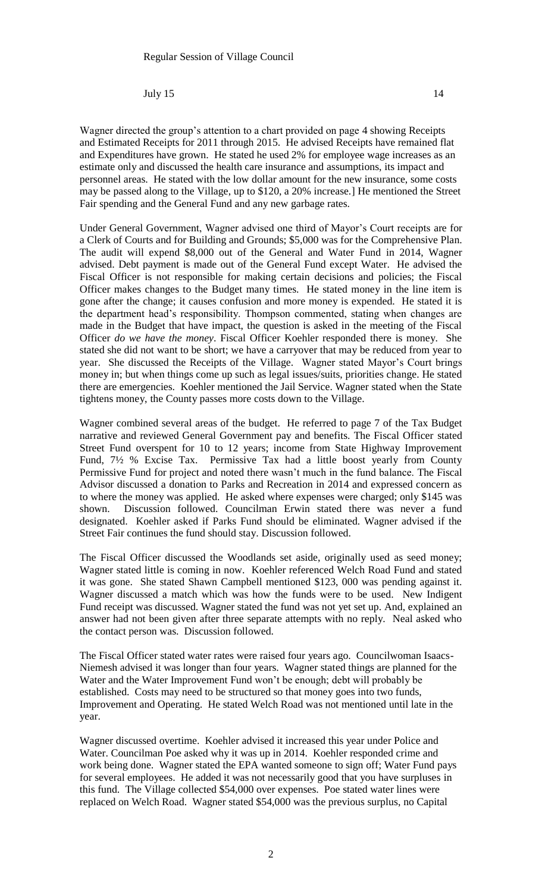July  $15$  14

Wagner directed the group's attention to a chart provided on page 4 showing Receipts and Estimated Receipts for 2011 through 2015. He advised Receipts have remained flat and Expenditures have grown. He stated he used 2% for employee wage increases as an estimate only and discussed the health care insurance and assumptions, its impact and personnel areas. He stated with the low dollar amount for the new insurance, some costs may be passed along to the Village, up to \$120, a 20% increase.] He mentioned the Street Fair spending and the General Fund and any new garbage rates.

Under General Government, Wagner advised one third of Mayor's Court receipts are for a Clerk of Courts and for Building and Grounds; \$5,000 was for the Comprehensive Plan. The audit will expend \$8,000 out of the General and Water Fund in 2014, Wagner advised. Debt payment is made out of the General Fund except Water. He advised the Fiscal Officer is not responsible for making certain decisions and policies; the Fiscal Officer makes changes to the Budget many times. He stated money in the line item is gone after the change; it causes confusion and more money is expended. He stated it is the department head's responsibility. Thompson commented, stating when changes are made in the Budget that have impact, the question is asked in the meeting of the Fiscal Officer *do we have the money*. Fiscal Officer Koehler responded there is money. She stated she did not want to be short; we have a carryover that may be reduced from year to year. She discussed the Receipts of the Village. Wagner stated Mayor's Court brings money in; but when things come up such as legal issues/suits, priorities change. He stated there are emergencies. Koehler mentioned the Jail Service. Wagner stated when the State tightens money, the County passes more costs down to the Village.

Wagner combined several areas of the budget. He referred to page 7 of the Tax Budget narrative and reviewed General Government pay and benefits. The Fiscal Officer stated Street Fund overspent for 10 to 12 years; income from State Highway Improvement Fund, 7½ % Excise Tax. Permissive Tax had a little boost yearly from County Permissive Fund for project and noted there wasn't much in the fund balance. The Fiscal Advisor discussed a donation to Parks and Recreation in 2014 and expressed concern as to where the money was applied. He asked where expenses were charged; only \$145 was shown. Discussion followed. Councilman Erwin stated there was never a fund designated. Koehler asked if Parks Fund should be eliminated. Wagner advised if the Street Fair continues the fund should stay. Discussion followed.

The Fiscal Officer discussed the Woodlands set aside, originally used as seed money; Wagner stated little is coming in now. Koehler referenced Welch Road Fund and stated it was gone. She stated Shawn Campbell mentioned \$123, 000 was pending against it. Wagner discussed a match which was how the funds were to be used. New Indigent Fund receipt was discussed. Wagner stated the fund was not yet set up. And, explained an answer had not been given after three separate attempts with no reply. Neal asked who the contact person was. Discussion followed.

The Fiscal Officer stated water rates were raised four years ago. Councilwoman Isaacs-Niemesh advised it was longer than four years. Wagner stated things are planned for the Water and the Water Improvement Fund won't be enough; debt will probably be established. Costs may need to be structured so that money goes into two funds, Improvement and Operating. He stated Welch Road was not mentioned until late in the year.

Wagner discussed overtime. Koehler advised it increased this year under Police and Water. Councilman Poe asked why it was up in 2014. Koehler responded crime and work being done. Wagner stated the EPA wanted someone to sign off; Water Fund pays for several employees. He added it was not necessarily good that you have surpluses in this fund. The Village collected \$54,000 over expenses. Poe stated water lines were replaced on Welch Road. Wagner stated \$54,000 was the previous surplus, no Capital